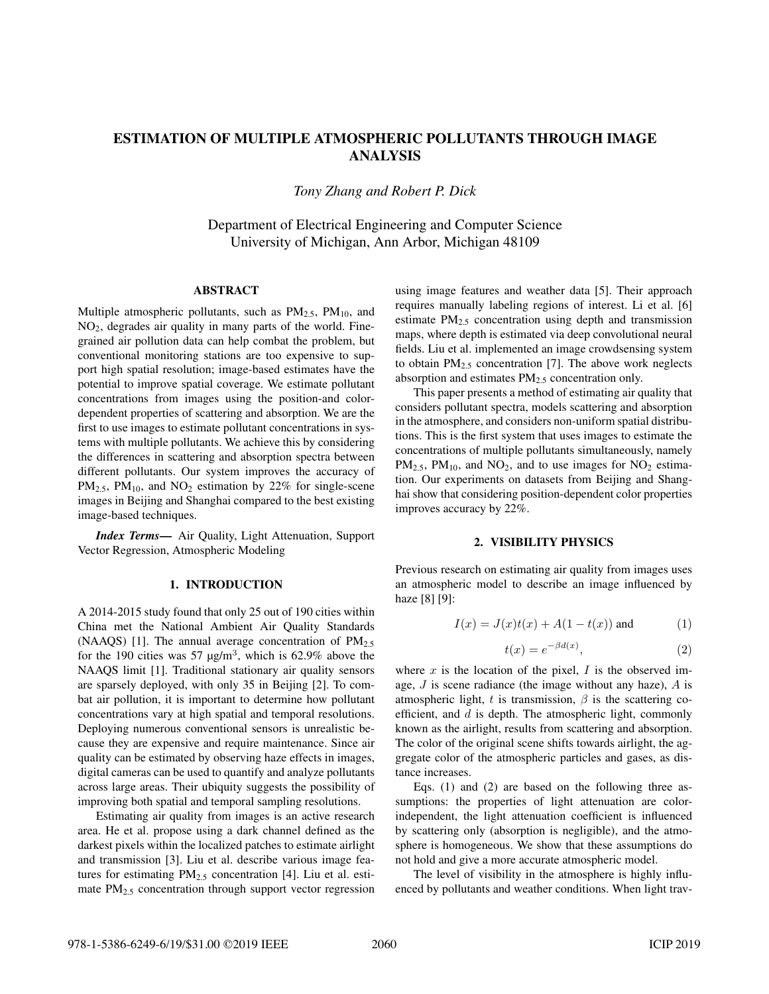# ESTIMATION OF MULTIPLE ATMOSPHERIC POLLUTANTS THROUGH IMAGE ANALYSIS

*Tony Zhang and Robert P. Dick*

Department of Electrical Engineering and Computer Science University of Michigan, Ann Arbor, Michigan 48109

# ABSTRACT

Multiple atmospheric pollutants, such as  $PM_{2.5}$ ,  $PM_{10}$ , and NO2, degrades air quality in many parts of the world. Finegrained air pollution data can help combat the problem, but conventional monitoring stations are too expensive to support high spatial resolution; image-based estimates have the potential to improve spatial coverage. We estimate pollutant concentrations from images using the position-and colordependent properties of scattering and absorption. We are the first to use images to estimate pollutant concentrations in systems with multiple pollutants. We achieve this by considering the differences in scattering and absorption spectra between different pollutants. Our system improves the accuracy of  $PM_{2.5}$ ,  $PM_{10}$ , and  $NO_2$  estimation by 22% for single-scene images in Beijing and Shanghai compared to the best existing image-based techniques.

*Index Terms*— Air Quality, Light Attenuation, Support Vector Regression, Atmospheric Modeling

# 1. INTRODUCTION

A 2014-2015 study found that only 25 out of 190 cities within China met the National Ambient Air Quality Standards (NAAQS) [1]. The annual average concentration of  $PM_{2.5}$ for the 190 cities was 57  $\mu$ g/m<sup>3</sup>, which is 62.9% above the NAAQS limit [1]. Traditional stationary air quality sensors are sparsely deployed, with only 35 in Beijing [2]. To combat air pollution, it is important to determine how pollutant concentrations vary at high spatial and temporal resolutions. Deploying numerous conventional sensors is unrealistic because they are expensive and require maintenance. Since air quality can be estimated by observing haze effects in images, digital cameras can be used to quantify and analyze pollutants across large areas. Their ubiquity suggests the possibility of improving both spatial and temporal sampling resolutions.

Estimating air quality from images is an active research area. He et al. propose using a dark channel defined as the darkest pixels within the localized patches to estimate airlight and transmission [3]. Liu et al. describe various image features for estimating  $PM_{2,5}$  concentration [4]. Liu et al. estimate PM<sub>2.5</sub> concentration through support vector regression using image features and weather data [5]. Their approach requires manually labeling regions of interest. Li et al. [6] estimate PM2.5 concentration using depth and transmission maps, where depth is estimated via deep convolutional neural fields. Liu et al. implemented an image crowdsensing system to obtain  $PM_{2,5}$  concentration [7]. The above work neglects absorption and estimates  $PM<sub>2.5</sub>$  concentration only.

This paper presents a method of estimating air quality that considers pollutant spectra, models scattering and absorption in the atmosphere, and considers non-uniform spatial distributions. This is the first system that uses images to estimate the concentrations of multiple pollutants simultaneously, namely  $PM_{2.5}$ ,  $PM_{10}$ , and  $NO_2$ , and to use images for  $NO_2$  estimation. Our experiments on datasets from Beijing and Shanghai show that considering position-dependent color properties improves accuracy by 22%.

# 2. VISIBILITY PHYSICS

Previous research on estimating air quality from images uses an atmospheric model to describe an image influenced by haze [8] [9]:

$$
I(x) = J(x)t(x) + A(1 - t(x)) \text{ and } (1)
$$

$$
t(x) = e^{-\beta d(x)},\tag{2}
$$

where  $x$  is the location of the pixel,  $I$  is the observed image,  $J$  is scene radiance (the image without any haze),  $A$  is atmospheric light, t is transmission,  $\beta$  is the scattering coefficient, and  $d$  is depth. The atmospheric light, commonly known as the airlight, results from scattering and absorption. The color of the original scene shifts towards airlight, the aggregate color of the atmospheric particles and gases, as distance increases.

Eqs. (1) and (2) are based on the following three assumptions: the properties of light attenuation are colorindependent, the light attenuation coefficient is influenced by scattering only (absorption is negligible), and the atmosphere is homogeneous. We show that these assumptions do not hold and give a more accurate atmospheric model.

The level of visibility in the atmosphere is highly influenced by pollutants and weather conditions. When light trav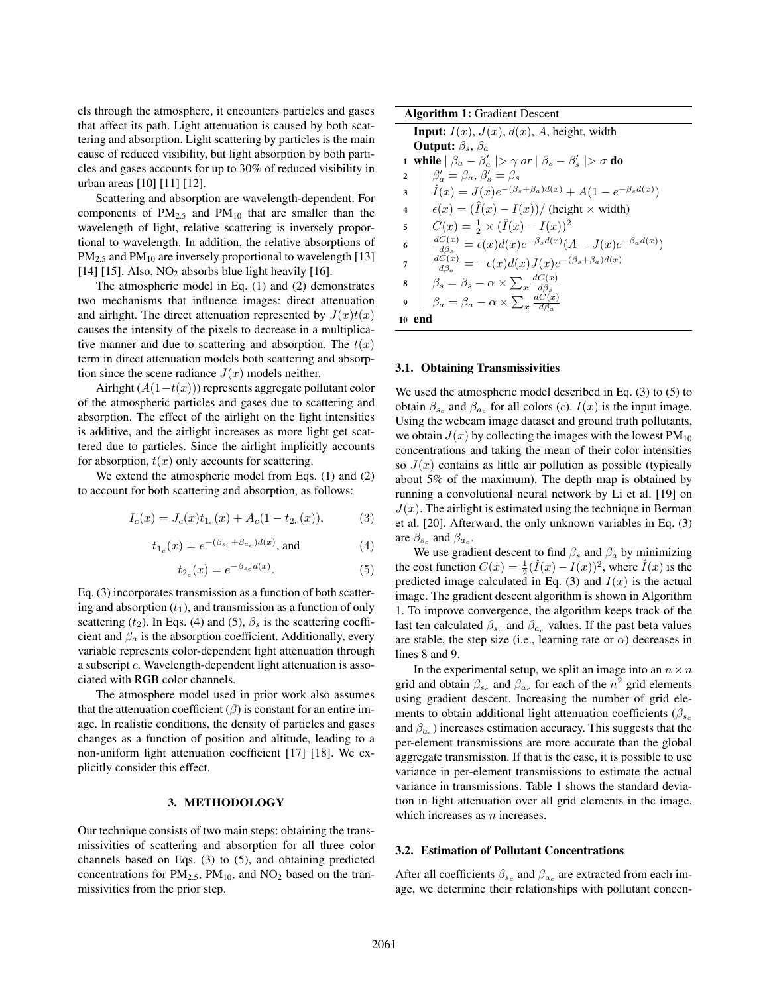els through the atmosphere, it encounters particles and gases that affect its path. Light attenuation is caused by both scattering and absorption. Light scattering by particles is the main cause of reduced visibility, but light absorption by both particles and gases accounts for up to 30% of reduced visibility in urban areas [10] [11] [12].

Scattering and absorption are wavelength-dependent. For components of  $PM_{2.5}$  and  $PM_{10}$  that are smaller than the wavelength of light, relative scattering is inversely proportional to wavelength. In addition, the relative absorptions of  $PM_{2.5}$  and  $PM_{10}$  are inversely proportional to wavelength [13] [14] [15]. Also,  $NO<sub>2</sub>$  absorbs blue light heavily [16].

The atmospheric model in Eq. (1) and (2) demonstrates two mechanisms that influence images: direct attenuation and airlight. The direct attenuation represented by  $J(x)t(x)$ causes the intensity of the pixels to decrease in a multiplicative manner and due to scattering and absorption. The  $t(x)$ term in direct attenuation models both scattering and absorption since the scene radiance  $J(x)$  models neither.

Airlight  $(A(1-t(x)))$  represents aggregate pollutant color of the atmospheric particles and gases due to scattering and absorption. The effect of the airlight on the light intensities is additive, and the airlight increases as more light get scattered due to particles. Since the airlight implicitly accounts for absorption,  $t(x)$  only accounts for scattering.

We extend the atmospheric model from Eqs. (1) and (2) to account for both scattering and absorption, as follows:

$$
I_c(x) = J_c(x)t_{1_c}(x) + A_c(1 - t_{2_c}(x)),
$$
 (3)

$$
t_{1_c}(x) = e^{-(\beta_{sc} + \beta_{ac})d(x)}, \text{ and} \tag{4}
$$

$$
t_{2_c}(x) = e^{-\beta_{s_c}d(x)}.
$$
 (5)

Eq. (3) incorporates transmission as a function of both scattering and absorption  $(t_1)$ , and transmission as a function of only scattering ( $t_2$ ). In Eqs. (4) and (5),  $\beta_s$  is the scattering coefficient and  $\beta_a$  is the absorption coefficient. Additionally, every variable represents color-dependent light attenuation through a subscript c. Wavelength-dependent light attenuation is associated with RGB color channels.

The atmosphere model used in prior work also assumes that the attenuation coefficient  $(\beta)$  is constant for an entire image. In realistic conditions, the density of particles and gases changes as a function of position and altitude, leading to a non-uniform light attenuation coefficient [17] [18]. We explicitly consider this effect.

# 3. METHODOLOGY

Our technique consists of two main steps: obtaining the transmissivities of scattering and absorption for all three color channels based on Eqs. (3) to (5), and obtaining predicted concentrations for  $PM_{2.5}$ ,  $PM_{10}$ , and  $NO_2$  based on the tranmissivities from the prior step.

| <b>Algorithm 1: Gradient Descent</b>                                          |                                                                                      |  |  |  |  |
|-------------------------------------------------------------------------------|--------------------------------------------------------------------------------------|--|--|--|--|
| <b>Input:</b> $I(x)$ , $J(x)$ , $d(x)$ , A, height, width                     |                                                                                      |  |  |  |  |
|                                                                               | <b>Output:</b> $\beta_s$ , $\beta_a$                                                 |  |  |  |  |
| 1 while $ \beta_a - \beta'_a  > \gamma$ or $ \beta_s - \beta'_s  > \sigma$ do |                                                                                      |  |  |  |  |
| $\overline{2}$                                                                | $\beta'_{\alpha} = \beta_{a}, \beta'_{\alpha} = \beta_{s}$                           |  |  |  |  |
| 3                                                                             | $\hat{I}(x) = J(x)e^{-(\beta_s + \beta_a)d(x)} + A(1 - e^{-\beta_s d(x)})$           |  |  |  |  |
| $\overline{\mathbf{4}}$                                                       | $\epsilon(x) = (\tilde{I}(x) - I(x)) /$ (height $\times$ width)                      |  |  |  |  |
| 5                                                                             | $C(x) = \frac{1}{2} \times (\hat{I}(x) - I(x))^2$                                    |  |  |  |  |
| 6                                                                             | $\frac{dC(x)}{d\beta_a} = \epsilon(x)d(x)e^{-\beta_s d(x)}(A-J(x)e^{-\beta_a d(x)})$ |  |  |  |  |
| 7                                                                             | $\frac{dC(x)}{d\beta} = -\epsilon(x)d(x)J(x)e^{-(\beta_s+\beta_a)d(x)}$              |  |  |  |  |
| 8                                                                             | $\beta_s = \beta_s - \alpha \times \sum_r \frac{dC(x)}{d\beta}$                      |  |  |  |  |
| 9                                                                             | $\beta_a = \beta_a - \alpha \times \sum_x \frac{dC(x)}{d\beta}$                      |  |  |  |  |
| end<br>10                                                                     |                                                                                      |  |  |  |  |

### 3.1. Obtaining Transmissivities

We used the atmospheric model described in Eq. (3) to (5) to obtain  $\beta_{s_c}$  and  $\beta_{a_c}$  for all colors (*c*).  $I(x)$  is the input image. Using the webcam image dataset and ground truth pollutants, we obtain  $J(x)$  by collecting the images with the lowest  $PM_{10}$ concentrations and taking the mean of their color intensities so  $J(x)$  contains as little air pollution as possible (typically about 5% of the maximum). The depth map is obtained by running a convolutional neural network by Li et al. [19] on  $J(x)$ . The airlight is estimated using the technique in Berman et al. [20]. Afterward, the only unknown variables in Eq. (3) are  $\beta_{s_c}$  and  $\beta_{a_c}$ .

We use gradient descent to find  $\beta_s$  and  $\beta_a$  by minimizing the cost function  $C(x) = \frac{1}{2}(\hat{I}(x) - I(x))^2$ , where  $\hat{I}(x)$  is the predicted image calculated in Eq. (3) and  $I(x)$  is the actual image. The gradient descent algorithm is shown in Algorithm 1. To improve convergence, the algorithm keeps track of the last ten calculated  $\beta_{s_c}$  and  $\beta_{a_c}$  values. If the past beta values are stable, the step size (i.e., learning rate or  $\alpha$ ) decreases in lines 8 and 9.

In the experimental setup, we split an image into an  $n \times n$ grid and obtain  $\beta_{s_c}$  and  $\beta_{a_c}$  for each of the  $n^2$  grid elements using gradient descent. Increasing the number of grid elements to obtain additional light attenuation coefficients ( $\beta_{s_c}$ and  $\beta_{a_c}$ ) increases estimation accuracy. This suggests that the per-element transmissions are more accurate than the global aggregate transmission. If that is the case, it is possible to use variance in per-element transmissions to estimate the actual variance in transmissions. Table 1 shows the standard deviation in light attenuation over all grid elements in the image, which increases as  $n$  increases.

#### 3.2. Estimation of Pollutant Concentrations

After all coefficients  $\beta_{s_c}$  and  $\beta_{a_c}$  are extracted from each image, we determine their relationships with pollutant concen-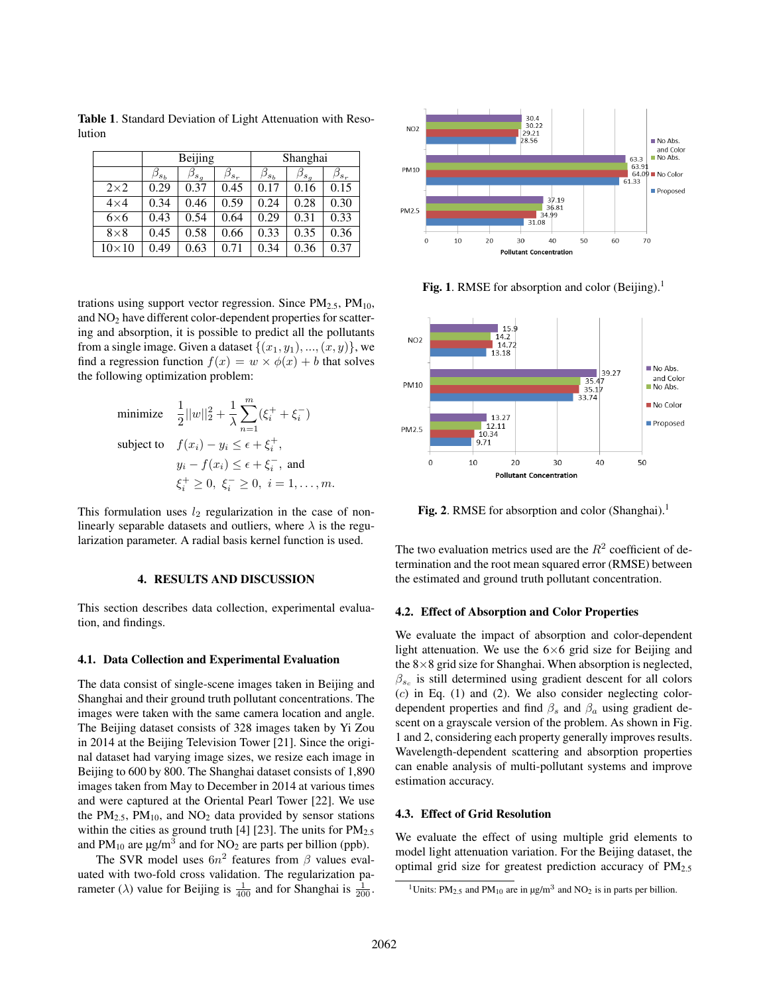Table 1. Standard Deviation of Light Attenuation with Resolution

|              | Beijing       |                 |               | Shanghai        |                                   |               |
|--------------|---------------|-----------------|---------------|-----------------|-----------------------------------|---------------|
|              | $\beta_{s_h}$ | $\beta_{s_{a}}$ | $\beta_{s_r}$ | $\beta_{s_{b}}$ | $\beta_{s_{\textit{\textbf{q}}}}$ | $\beta_{s_r}$ |
| $2\times2$   | 0.29          | 0.37            | 0.45          | 0.17            | 0.16                              | 0.15          |
| $4\times4$   | 0.34          | 0.46            | 0.59          | 0.24            | 0.28                              | 0.30          |
| $6\times 6$  | 0.43          | 0.54            | 0.64          | 0.29            | 0.31                              | 0.33          |
| $8\times8$   | 0.45          | 0.58            | 0.66          | 0.33            | 0.35                              | 0.36          |
| $10\times10$ | 0.49          | 0.63            | 0.71          | 0.34            | 0.36                              | 0.37          |

trations using support vector regression. Since  $PM_{2.5}$ ,  $PM_{10}$ , and NO<sub>2</sub> have different color-dependent properties for scattering and absorption, it is possible to predict all the pollutants from a single image. Given a dataset  $\{(x_1, y_1), ..., (x, y)\}\)$ , we find a regression function  $f(x) = w \times \phi(x) + b$  that solves the following optimization problem:

minimize 
$$
\frac{1}{2} ||w||_2^2 + \frac{1}{\lambda} \sum_{n=1}^m (\xi_i^+ + \xi_i^-)
$$
  
\nsubject to  $f(x_i) - y_i \le \epsilon + \xi_i^+$ ,  
\n $y_i - f(x_i) \le \epsilon + \xi_i^-$ , and  
\n $\xi_i^+ \ge 0, \xi_i^- \ge 0, \ i = 1, ..., m$ .

This formulation uses  $l_2$  regularization in the case of nonlinearly separable datasets and outliers, where  $\lambda$  is the regularization parameter. A radial basis kernel function is used.

# 4. RESULTS AND DISCUSSION

This section describes data collection, experimental evaluation, and findings.

#### 4.1. Data Collection and Experimental Evaluation

The data consist of single-scene images taken in Beijing and Shanghai and their ground truth pollutant concentrations. The images were taken with the same camera location and angle. The Beijing dataset consists of 328 images taken by Yi Zou in 2014 at the Beijing Television Tower [21]. Since the original dataset had varying image sizes, we resize each image in Beijing to 600 by 800. The Shanghai dataset consists of 1,890 images taken from May to December in 2014 at various times and were captured at the Oriental Pearl Tower [22]. We use the  $PM_{2.5}$ ,  $PM_{10}$ , and  $NO<sub>2</sub>$  data provided by sensor stations within the cities as ground truth [4] [23]. The units for  $PM_{2.5}$ and  $PM_{10}$  are  $\mu$ g/m<sup>3</sup> and for NO<sub>2</sub> are parts per billion (ppb).

The SVR model uses  $6n^2$  features from  $\beta$  values evaluated with two-fold cross validation. The regularization parameter ( $\lambda$ ) value for Beijing is  $\frac{1}{400}$  and for Shanghai is  $\frac{1}{200}$ .



**Fig. 1.** RMSE for absorption and color (Beijing).<sup>1</sup>



Fig. 2. RMSE for absorption and color  $(Shanghai).<sup>1</sup>$ 

The two evaluation metrics used are the  $R^2$  coefficient of determination and the root mean squared error (RMSE) between the estimated and ground truth pollutant concentration.

### 4.2. Effect of Absorption and Color Properties

We evaluate the impact of absorption and color-dependent light attenuation. We use the  $6\times 6$  grid size for Beijing and the  $8\times 8$  grid size for Shanghai. When absorption is neglected,  $\beta_{s_c}$  is still determined using gradient descent for all colors  $(c)$  in Eq.  $(1)$  and  $(2)$ . We also consider neglecting colordependent properties and find  $\beta_s$  and  $\beta_a$  using gradient descent on a grayscale version of the problem. As shown in Fig. 1 and 2, considering each property generally improves results. Wavelength-dependent scattering and absorption properties can enable analysis of multi-pollutant systems and improve estimation accuracy.

## 4.3. Effect of Grid Resolution

We evaluate the effect of using multiple grid elements to model light attenuation variation. For the Beijing dataset, the optimal grid size for greatest prediction accuracy of  $PM_{2.5}$ 

<sup>&</sup>lt;sup>1</sup>Units: PM<sub>2.5</sub> and PM<sub>10</sub> are in  $\mu$ g/m<sup>3</sup> and NO<sub>2</sub> is in parts per billion.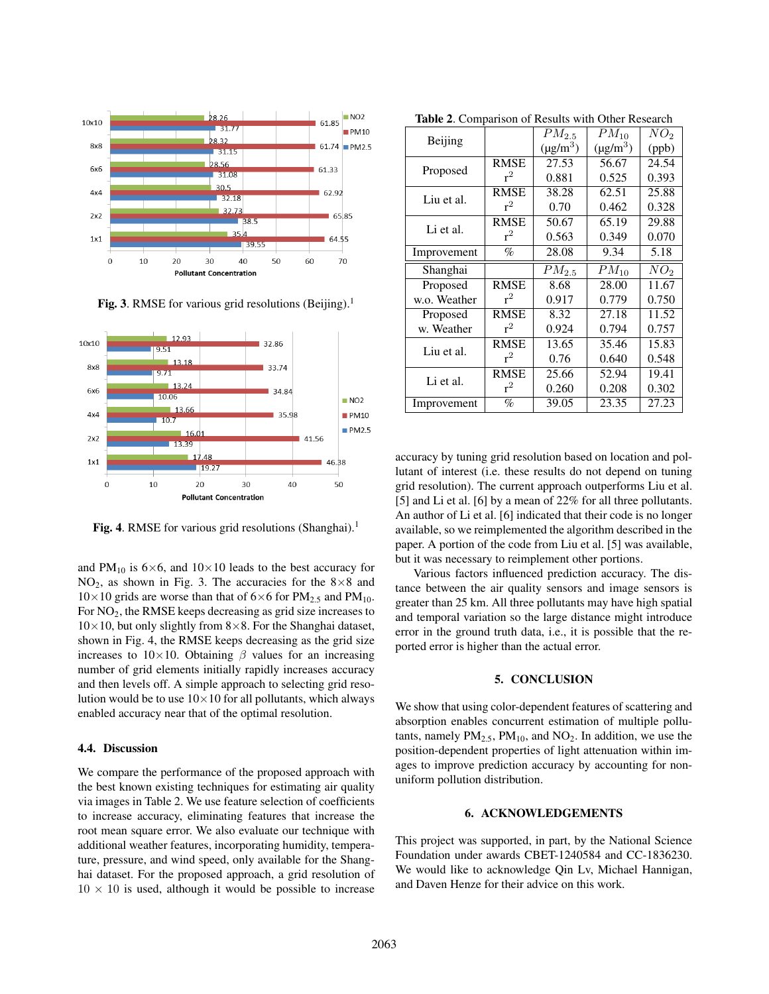

Fig. 3. RMSE for various grid resolutions (Beijing).<sup>1</sup>



Fig. 4. RMSE for various grid resolutions (Shanghai).<sup>1</sup>

and PM<sub>10</sub> is 6×6, and 10×10 leads to the best accuracy for NO<sub>2</sub>, as shown in Fig. 3. The accuracies for the  $8\times8$  and  $10\times10$  grids are worse than that of 6×6 for PM<sub>2.5</sub> and PM<sub>10</sub>. For NO2, the RMSE keeps decreasing as grid size increases to  $10\times10$ , but only slightly from 8×8. For the Shanghai dataset, shown in Fig. 4, the RMSE keeps decreasing as the grid size increases to  $10\times10$ . Obtaining  $\beta$  values for an increasing number of grid elements initially rapidly increases accuracy and then levels off. A simple approach to selecting grid resolution would be to use  $10\times10$  for all pollutants, which always enabled accuracy near that of the optimal resolution.

### 4.4. Discussion

We compare the performance of the proposed approach with the best known existing techniques for estimating air quality via images in Table 2. We use feature selection of coefficients to increase accuracy, eliminating features that increase the root mean square error. We also evaluate our technique with additional weather features, incorporating humidity, temperature, pressure, and wind speed, only available for the Shanghai dataset. For the proposed approach, a grid resolution of  $10 \times 10$  is used, although it would be possible to increase

|  | <b>Table 2.</b> Comparison of Results with Other Research |  |  |  |  |
|--|-----------------------------------------------------------|--|--|--|--|
|--|-----------------------------------------------------------|--|--|--|--|

| Beijing      |             | $PM_{2.5}$                | $PM_{10}$                 | $\overline{NO_2}$ |
|--------------|-------------|---------------------------|---------------------------|-------------------|
|              |             | $(\mu$ g/m <sup>3</sup> ) | $(\mu$ g/m <sup>3</sup> ) | (ppb)             |
| Proposed     | <b>RMSE</b> | 27.53                     | 56.67                     | 24.54             |
|              | $r^2$       | 0.881                     | 0.525                     | 0.393             |
| Liu et al.   | <b>RMSE</b> | 38.28                     | 62.51                     | 25.88             |
|              | $r^2$       | 0.70                      | 0.462                     | 0.328             |
| Li et al.    | <b>RMSE</b> | 50.67                     | 65.19                     | 29.88             |
|              | $r^2$       | 0.563                     | 0.349                     | 0.070             |
| Improvement  | %           | 28.08                     | 9.34                      | 5.18              |
| Shanghai     |             | $PM_{2.5}$                | $PM_{10}$                 | NO <sub>2</sub>   |
| Proposed     | <b>RMSE</b> | 8.68                      | 28.00                     | 11.67             |
| w.o. Weather | $r^2$       | 0.917                     | 0.779                     | 0.750             |
| Proposed     | <b>RMSE</b> | 8.32                      | 27.18                     | 11.52             |
| w. Weather   | $r^2$       | 0.924                     | 0.794                     | 0.757             |
| Liu et al.   | RMSE        | 13.65                     | 35.46                     | 15.83             |
|              | $r^2$       | 0.76                      | 0.640                     | 0.548             |
| Li et al.    | RMSE        | 25.66                     | 52.94                     | 19.41             |
|              | $r^2$       | 0.260                     | 0.208                     | 0.302             |
| Improvement  | %           | 39.05                     | 23.35                     | 27.23             |

accuracy by tuning grid resolution based on location and pollutant of interest (i.e. these results do not depend on tuning grid resolution). The current approach outperforms Liu et al. [5] and Li et al. [6] by a mean of 22% for all three pollutants. An author of Li et al. [6] indicated that their code is no longer available, so we reimplemented the algorithm described in the paper. A portion of the code from Liu et al. [5] was available, but it was necessary to reimplement other portions.

Various factors influenced prediction accuracy. The distance between the air quality sensors and image sensors is greater than 25 km. All three pollutants may have high spatial and temporal variation so the large distance might introduce error in the ground truth data, i.e., it is possible that the reported error is higher than the actual error.

### 5. CONCLUSION

We show that using color-dependent features of scattering and absorption enables concurrent estimation of multiple pollutants, namely  $PM_{2,5}$ ,  $PM_{10}$ , and  $NO_2$ . In addition, we use the position-dependent properties of light attenuation within images to improve prediction accuracy by accounting for nonuniform pollution distribution.

### 6. ACKNOWLEDGEMENTS

This project was supported, in part, by the National Science Foundation under awards CBET-1240584 and CC-1836230. We would like to acknowledge Qin Lv, Michael Hannigan, and Daven Henze for their advice on this work.